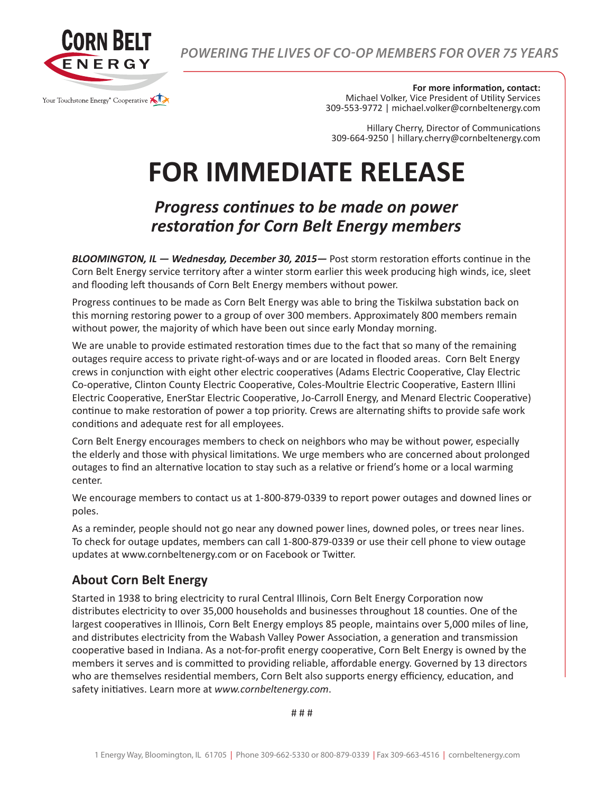

*POWERING THE LIVES OF CO-OP MEMBERS FOR OVER 75 YEARS*

**For more information, contact:**

Michael Volker, Vice President of Utility Services 309-553-9772 | michael.volker@cornbeltenergy.com

Hillary Cherry, Director of Communications 309-664-9250 | hillary.cherry@cornbeltenergy.com

## **FOR IMMEDIATE RELEASE**

## *Progress continues to be made on power restoration for Corn Belt Energy members*

*BLOOMINGTON, IL — Wednesday, December 30, 2015—* Post storm restoration efforts continue in the Corn Belt Energy service territory after a winter storm earlier this week producing high winds, ice, sleet and flooding left thousands of Corn Belt Energy members without power.

Progress continues to be made as Corn Belt Energy was able to bring the Tiskilwa substation back on this morning restoring power to a group of over 300 members. Approximately 800 members remain without power, the majority of which have been out since early Monday morning.

We are unable to provide estimated restoration times due to the fact that so many of the remaining outages require access to private right-of-ways and or are located in flooded areas. Corn Belt Energy crews in conjunction with eight other electric cooperatives (Adams Electric Cooperative, Clay Electric Co-operative, Clinton County Electric Cooperative, Coles-Moultrie Electric Cooperative, Eastern Illini Electric Cooperative, EnerStar Electric Cooperative, Jo-Carroll Energy, and Menard Electric Cooperative) continue to make restoration of power a top priority. Crews are alternating shifts to provide safe work conditions and adequate rest for all employees.

Corn Belt Energy encourages members to check on neighbors who may be without power, especially the elderly and those with physical limitations. We urge members who are concerned about prolonged outages to find an alternative location to stay such as a relative or friend's home or a local warming center.

We encourage members to contact us at 1-800-879-0339 to report power outages and downed lines or poles.

As a reminder, people should not go near any downed power lines, downed poles, or trees near lines. To check for outage updates, members can call 1-800-879-0339 or use their cell phone to view outage updates at www.cornbeltenergy.com or on Facebook or Twitter.

## **About Corn Belt Energy**

Started in 1938 to bring electricity to rural Central Illinois, Corn Belt Energy Corporation now distributes electricity to over 35,000 households and businesses throughout 18 counties. One of the largest cooperatives in Illinois, Corn Belt Energy employs 85 people, maintains over 5,000 miles of line, and distributes electricity from the Wabash Valley Power Association, a generation and transmission cooperative based in Indiana. As a not-for-profit energy cooperative, Corn Belt Energy is owned by the members it serves and is committed to providing reliable, affordable energy. Governed by 13 directors who are themselves residential members, Corn Belt also supports energy efficiency, education, and safety initiatives. Learn more at *www.cornbeltenergy.com*.

# # #